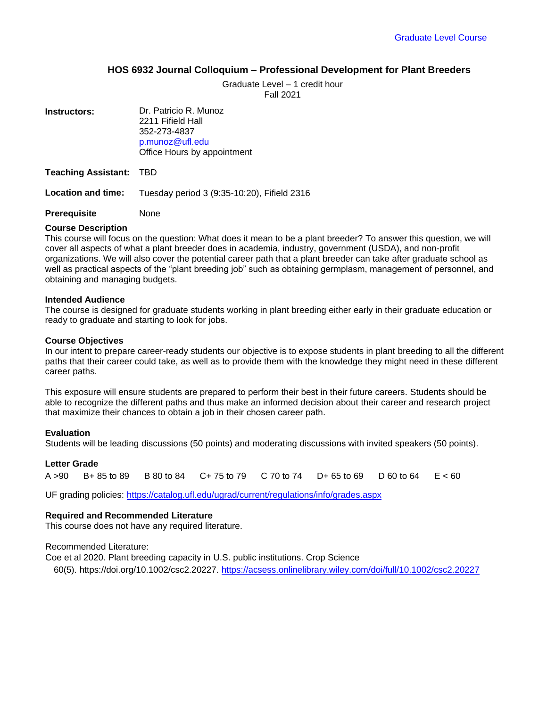## **HOS 6932 Journal Colloquium – Professional Development for Plant Breeders**

Graduate Level – 1 credit hour

Fall 2021

**Instructors:** Dr. Patricio R. Munoz

2211 Fifield Hall 352-273-4837 p.munoz@ufl.edu [Office Hours by app](mailto:p.munoz@ufl.edu)ointment

**Teaching Assistant:** TBD

**Location and time:** Tuesday period 3 (9:35-10:20), Fifield 2316

**Prerequisite** None

#### **Course Description**

This course will focus on the question: What does it mean to be a plant breeder? To answer this question, we will cover all aspects of what a plant breeder does in academia, industry, government (USDA), and non-profit organizations. We will also cover the potential career path that a plant breeder can take after graduate school as well as practical aspects of the "plant breeding job" such as obtaining germplasm, management of personnel, and obtaining and managing budgets.

#### **Intended Audience**

The course is designed for graduate students working in plant breeding either early in their graduate education or ready to graduate and starting to look for jobs.

#### **Course Objectives**

In our intent to prepare career-ready students our objective is to expose students in plant breeding to all the different paths that their career could take, as well as to provide them with the knowledge they might need in these different career paths.

This exposure will ensure students are prepared to perform their best in their future careers. Students should be able to recognize the different paths and thus make an informed decision about their career and research project that maximize their chances to obtain a job in their chosen career path.

### **Evaluation**

Students will be leading discussions (50 points) and moderating discussions with invited speakers (50 points).

### **Letter Grade**

A >90 B+ 85 to 89 B 80 to 84 C+ 75 to 79 C 70 to 74 D+ 65 to 69 D 60 to 64 E < 60

UF grading policies:<https://catalog.ufl.edu/ugrad/current/regulations/info/grades.aspx>

### **Required and Recommended Literature**

This course does not have any required literature.

### Recommended Literature:

Coe et al 2020. Plant breeding capacity in U.S. public institutions. Crop Science 60(5)[. https://doi.org/10.1002/csc2.20227.](https://doi.org/10.1002/csc2.20227) <https://acsess.onlinelibrary.wiley.com/doi/full/10.1002/csc2.20227>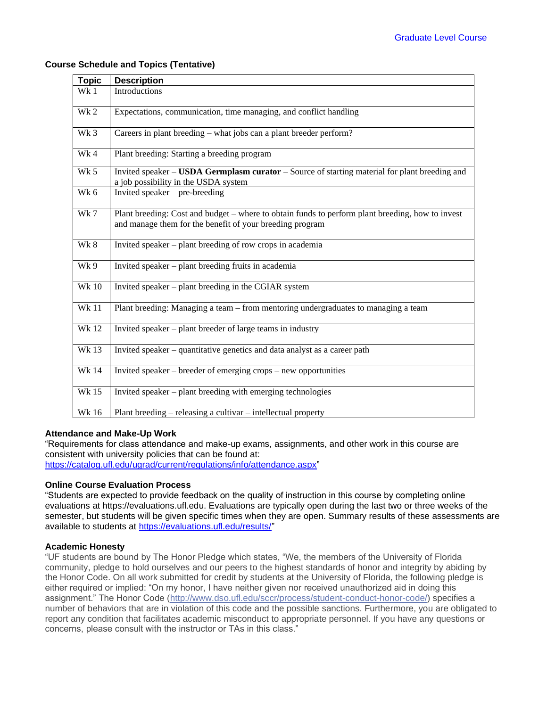| <b>Topic</b> | <b>Description</b>                                                                                                                                           |
|--------------|--------------------------------------------------------------------------------------------------------------------------------------------------------------|
| Wk 1         | Introductions                                                                                                                                                |
| Wk 2         | Expectations, communication, time managing, and conflict handling                                                                                            |
| Wk 3         | Careers in plant breeding – what jobs can a plant breeder perform?                                                                                           |
| Wk4          | Plant breeding: Starting a breeding program                                                                                                                  |
| Wk 5         | Invited speaker – USDA Germplasm curator – Source of starting material for plant breeding and<br>a job possibility in the USDA system                        |
| Wk 6         | Invited speaker $-$ pre-breeding                                                                                                                             |
| Wk7          | Plant breeding: Cost and budget – where to obtain funds to perform plant breeding, how to invest<br>and manage them for the benefit of your breeding program |
| Wk 8         | Invited speaker – plant breeding of row crops in academia                                                                                                    |
| Wk 9         | Invited speaker – plant breeding fruits in academia                                                                                                          |
| <b>Wk 10</b> | Invited speaker – plant breeding in the CGIAR system                                                                                                         |
| <b>Wk 11</b> | Plant breeding: Managing a team – from mentoring undergraduates to managing a team                                                                           |
| <b>Wk12</b>  | Invited speaker – plant breeder of large teams in industry                                                                                                   |
| <b>Wk13</b>  | Invited speaker – quantitative genetics and data analyst as a career path                                                                                    |
| <b>Wk 14</b> | Invited speaker – breeder of emerging crops – new opportunities                                                                                              |
| <b>Wk 15</b> | Invited speaker - plant breeding with emerging technologies                                                                                                  |
| <b>Wk 16</b> | Plant breeding $-$ releasing a cultivar $-$ intellectual property                                                                                            |

# **Course Schedule and Topics (Tentative)**

## **Attendance and Make-Up Work**

"Requirements for class attendance and make-up exams, assignments, and other work in this course are consistent with university policies that can be found at: [https://catalog.ufl.edu/ugrad/current/regulations/info/attendance.aspx"](https://catalog.ufl.edu/ugrad/current/regulations/info/attendance.aspx)

**Online Course Evaluation Process**

"Students are expected to provide feedback on the quality of instruction in this course by completing online evaluations at https://evaluations.ufl.edu. Evaluations are typically open during the last two or three weeks of the semester, but students will be given specific times when they are open. Summary results of these assessments are available to students at [https://evaluations.ufl.edu/results/"](https://evaluations.ufl.edu/results/)

## **Academic Honesty**

"UF students are bound by The Honor Pledge which states, "We, the members of the University of Florida community, pledge to hold ourselves and our peers to the highest standards of honor and integrity by abiding by the Honor Code. On all work submitted for credit by students at the University of Florida, the following pledge is either required or implied: "On my honor, I have neither given nor received unauthorized aid in doing this assignment." The Honor Code [\(http://www.dso.ufl.edu/sccr/process/student-conduct-honor-code/\)](http://www.dso.ufl.edu/sccr/process/student-conduct-honor-code/) specifies a number of behaviors that are in violation of this code and the possible sanctions. Furthermore, you are obligated to report any condition that facilitates academic misconduct to appropriate personnel. If you have any questions or concerns, please consult with the instructor or TAs in this class."